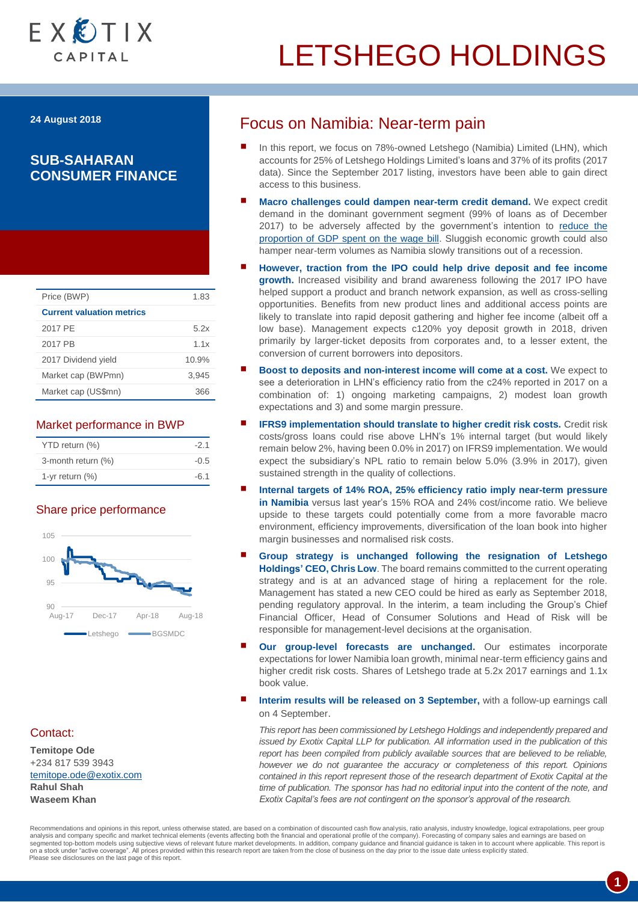

**24 August 2018**

### **SUB-SAHARAN CONSUMER FINANCE**

| Price (BWP)                      | 1.83  |
|----------------------------------|-------|
| <b>Current valuation metrics</b> |       |
| 2017 PE                          | 5.2x  |
| 2017 PB                          | 11x   |
| 2017 Dividend yield              | 10.9% |
| Market cap (BWPmn)               | 3.945 |
| Market cap (US\$mn)              | つに    |

### Market performance in BWP

| YTD return (%)     | $-2.1$ | costs/gross loans could rise above LHN's 1<br>remain below 2%, having been 0.0% in 2017) |
|--------------------|--------|------------------------------------------------------------------------------------------|
| 3-month return (%) | $-0.5$ | expect the subsidiary's NPL ratio to remain                                              |
| 1-yr return $(\%)$ | $-6.1$ | sustained strength in the quality of collections.                                        |

### Share price performance



### Contact:

**Temitope Ode** +234 817 539 3943 [temitope.ode@exotix.com](mailto:temitope.ode@exotix.com) **Rahul Shah Waseem Khan**

### Focus on Namibia: Near-term pain

- In this report, we focus on 78%-owned Letshego (Namibia) Limited (LHN), which accounts for 25% of Letshego Holdings Limited's loans and 37% of its profits (2017 data). Since the September 2017 listing, investors have been able to gain direct access to this business.
- **Macro challenges could dampen near-term credit demand.** We expect credit demand in the dominant government segment (99% of loans as of December 2017) to be adversely affected by the government's intention to reduce the [proportion of GDP spent on the wage bill.](https://www.namibian.com.na/175238/archive-read/Spending-cut-but-Govt-debt-balloons) Sluggish economic growth could also hamper near-term volumes as Namibia slowly transitions out of a recession.
- **However, traction from the IPO could help drive deposit and fee income growth.** Increased visibility and brand awareness following the 2017 IPO have helped support a product and branch network expansion, as well as cross-selling opportunities. Benefits from new product lines and additional access points are likely to translate into rapid deposit gathering and higher fee income (albeit off a low base). Management expects c120% yoy deposit growth in 2018, driven primarily by larger-ticket deposits from corporates and, to a lesser extent, the conversion of current borrowers into depositors.
- **Boost to deposits and non-interest income will come at a cost.** We expect to see a deterioration in LHN's efficiency ratio from the c24% reported in 2017 on a combination of: 1) ongoing marketing campaigns, 2) modest loan growth expectations and 3) and some margin pressure.
- **IFRS9 implementation should translate to higher credit risk costs.** Credit risk costs/gross loans could rise above LHN's 1% internal target (but would likely YTD return (%) **12.1** -2.1 remain below 2%, having been 0.0% in 2017) on IFRS9 implementation. We would 3-month return (%) 3-month return (%) 3.5 component on 5.0% (3.9% in 2017), given
	- **Internal targets of 14% ROA, 25% efficiency ratio imply near-term pressure in Namibia** versus last year's 15% ROA and 24% cost/income ratio. We believe upside to these targets could potentially come from a more favorable macro environment, efficiency improvements, diversification of the loan book into higher margin businesses and normalised risk costs.
	- **Group strategy is unchanged following the resignation of Letshego Holdings' CEO, Chris Low**. The board remains committed to the current operating strategy and is at an advanced stage of hiring a replacement for the role. Management has stated a new CEO could be hired as early as September 2018, pending regulatory approval. In the interim, a team including the Group's Chief Financial Officer, Head of Consumer Solutions and Head of Risk will be responsible for management-level decisions at the organisation.
	- **Our group-level forecasts are unchanged.** Our estimates incorporate expectations for lower Namibia loan growth, minimal near-term efficiency gains and higher credit risk costs. Shares of Letshego trade at 5.2x 2017 earnings and 1.1x book value.
	- **Interim results will be released on 3 September,** with a follow-up earnings call on 4 September.

*This report has been commissioned by Letshego Holdings and independently prepared and issued by Exotix Capital LLP for publication. All information used in the publication of this report has been compiled from publicly available sources that are believed to be reliable, however we do not guarantee the accuracy or completeness of this report. Opinions contained in this report represent those of the research department of Exotix Capital at the time of publication. The sponsor has had no editorial input into the content of the note, and Exotix Capital's fees are not contingent on the sponsor's approval of the research.*

Recommendations and opinions in this report, unless otherwise stated, are based on a combination of discounted cash flow analysis, ratio analysis, industry knowledge, logical extrapolations, peer group analysis and company specific and market technical elements (events affecting both the financial and operational profile of the company). Forecasting of company sales and earnings are based on segmented top-bottom models using subjective views of relevant future market developments. In addition, company guidance and financial guidance is taken in to account where applicable. This report is<br>on a stock under "acti Please see disclosures on the last page of this report.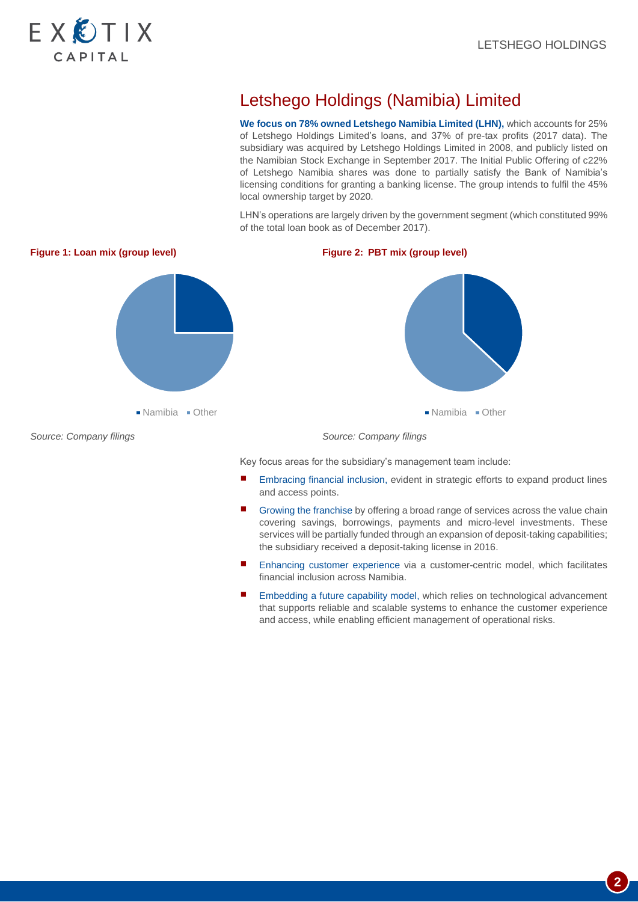

# Letshego Holdings (Namibia) Limited

**We focus on 78% owned Letshego Namibia Limited (LHN),** which accounts for 25% of Letshego Holdings Limited's loans, and 37% of pre-tax profits (2017 data). The subsidiary was acquired by Letshego Holdings Limited in 2008, and publicly listed on the Namibian Stock Exchange in September 2017. The Initial Public Offering of c22% of Letshego Namibia shares was done to partially satisfy the Bank of Namibia's licensing conditions for granting a banking license. The group intends to fulfil the 45% local ownership target by 2020.

LHN's operations are largely driven by the government segment (which constituted 99% of the total loan book as of December 2017).



- Embracing financial inclusion, evident in strategic efforts to expand product lines and access points.
- Growing the franchise by offering a broad range of services across the value chain covering savings, borrowings, payments and micro-level investments. These services will be partially funded through an expansion of deposit-taking capabilities; the subsidiary received a deposit-taking license in 2016.
- Enhancing customer experience via a customer-centric model, which facilitates financial inclusion across Namibia.
- Embedding a future capability model, which relies on technological advancement that supports reliable and scalable systems to enhance the customer experience and access, while enabling efficient management of operational risks.

**2**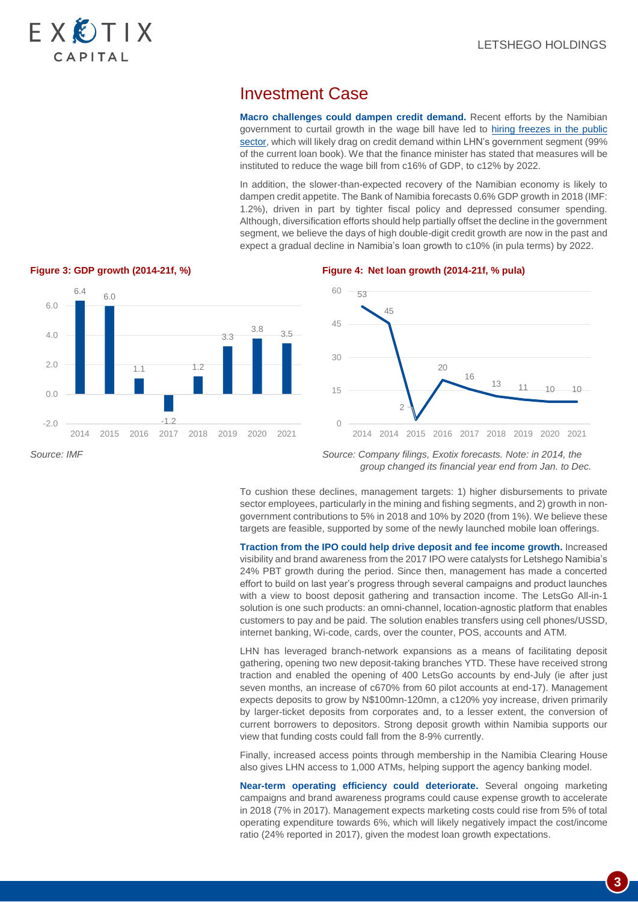## Investment Case

**Macro challenges could dampen credit demand.** Recent efforts by the Namibian government to curtail growth in the wage bill have led to hiring freezes in the public [sector,](https://allafrica.com/stories/201804030612.html) which will likely drag on credit demand within LHN's government segment (99% of the current loan book). We that the finance minister has stated that measures will be instituted to reduce the wage bill from c16% of GDP, to c12% by 2022.

In addition, the slower-than-expected recovery of the Namibian economy is likely to dampen credit appetite. The Bank of Namibia forecasts 0.6% GDP growth in 2018 (IMF: 1.2%), driven in part by tighter fiscal policy and depressed consumer spending. Although, diversification efforts should help partially offset the decline in the government segment, we believe the days of high double-digit credit growth are now in the past and expect a gradual decline in Namibia's loan growth to c10% (in pula terms) by 2022.



### **Figure 3: GDP growth (2014-21f, %) Figure 4: Net loan growth (2014-21f, % pula)**



*Source: IMF Source: Company filings, Exotix forecasts. Note: in 2014, the group changed its financial year end from Jan. to Dec.*

> To cushion these declines, management targets: 1) higher disbursements to private sector employees, particularly in the mining and fishing segments, and 2) growth in nongovernment contributions to 5% in 2018 and 10% by 2020 (from 1%). We believe these targets are feasible, supported by some of the newly launched mobile loan offerings.

> **Traction from the IPO could help drive deposit and fee income growth.** Increased visibility and brand awareness from the 2017 IPO were catalysts for Letshego Namibia's 24% PBT growth during the period. Since then, management has made a concerted effort to build on last year's progress through several campaigns and product launches with a view to boost deposit gathering and transaction income. The LetsGo All-in-1 solution is one such products: an omni-channel, location-agnostic platform that enables customers to pay and be paid. The solution enables transfers using cell phones/USSD, internet banking, Wi-code, cards, over the counter, POS, accounts and ATM.

> LHN has leveraged branch-network expansions as a means of facilitating deposit gathering, opening two new deposit-taking branches YTD. These have received strong traction and enabled the opening of 400 LetsGo accounts by end-July (ie after just seven months, an increase of c670% from 60 pilot accounts at end-17). Management expects deposits to grow by N\$100mn-120mn, a c120% yoy increase, driven primarily by larger-ticket deposits from corporates and, to a lesser extent, the conversion of current borrowers to depositors. Strong deposit growth within Namibia supports our view that funding costs could fall from the 8-9% currently.

> Finally, increased access points through membership in the Namibia Clearing House also gives LHN access to 1,000 ATMs, helping support the agency banking model.

> **Near-term operating efficiency could deteriorate.** Several ongoing marketing campaigns and brand awareness programs could cause expense growth to accelerate in 2018 (7% in 2017). Management expects marketing costs could rise from 5% of total operating expenditure towards 6%, which will likely negatively impact the cost/income ratio (24% reported in 2017), given the modest loan growth expectations.

> > **3**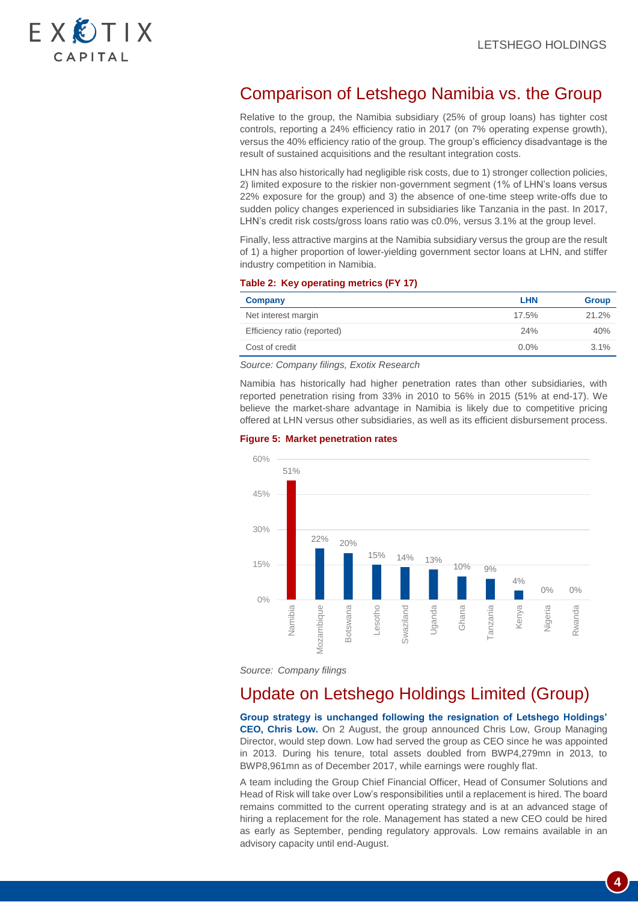

# Comparison of Letshego Namibia vs. the Group

Relative to the group, the Namibia subsidiary (25% of group loans) has tighter cost controls, reporting a 24% efficiency ratio in 2017 (on 7% operating expense growth), versus the 40% efficiency ratio of the group. The group's efficiency disadvantage is the result of sustained acquisitions and the resultant integration costs.

LHN has also historically had negligible risk costs, due to 1) stronger collection policies, 2) limited exposure to the riskier non-government segment (1% of LHN's loans versus 22% exposure for the group) and 3) the absence of one-time steep write-offs due to sudden policy changes experienced in subsidiaries like Tanzania in the past. In 2017, LHN's credit risk costs/gross loans ratio was c0.0%, versus 3.1% at the group level.

Finally, less attractive margins at the Namibia subsidiary versus the group are the result of 1) a higher proportion of lower-yielding government sector loans at LHN, and stiffer industry competition in Namibia.

### **Table 2: Key operating metrics (FY 17)**

| Company                     | <b>LHN</b> | <b>Group</b> |
|-----------------------------|------------|--------------|
| Net interest margin         | 17.5%      | 21.2%        |
| Efficiency ratio (reported) | 24%        | 40%          |
| Cost of credit              | $0.0\%$    | $3.1\%$      |

*Source: Company filings, Exotix Research*

Namibia has historically had higher penetration rates than other subsidiaries, with reported penetration rising from 33% in 2010 to 56% in 2015 (51% at end-17). We believe the market-share advantage in Namibia is likely due to competitive pricing offered at LHN versus other subsidiaries, as well as its efficient disbursement process.

### **Figure 5: Market penetration rates**



*Source: Company filings*

# Update on Letshego Holdings Limited (Group)

**Group strategy is unchanged following the resignation of Letshego Holdings' CEO, Chris Low.** On 2 August, the group announced Chris Low, Group Managing Director, would step down. Low had served the group as CEO since he was appointed in 2013. During his tenure, total assets doubled from BWP4,279mn in 2013, to BWP8,961mn as of December 2017, while earnings were roughly flat.

A team including the Group Chief Financial Officer, Head of Consumer Solutions and Head of Risk will take over Low's responsibilities until a replacement is hired. The board remains committed to the current operating strategy and is at an advanced stage of hiring a replacement for the role. Management has stated a new CEO could be hired as early as September, pending regulatory approvals. Low remains available in an advisory capacity until end-August.

**4**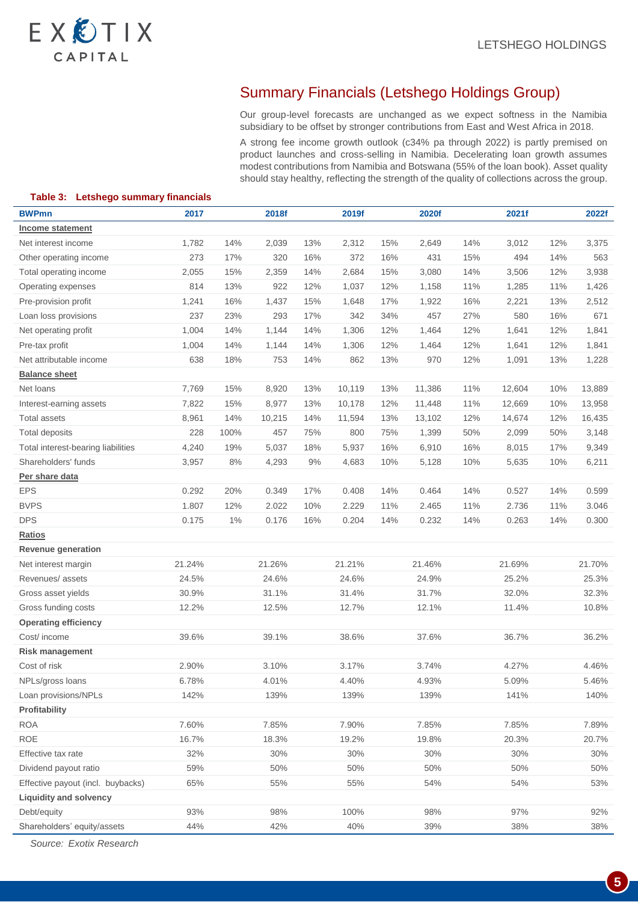# EXCTIX CAPITAL

### Summary Financials (Letshego Holdings Group)

Our group-level forecasts are unchanged as we expect softness in the Namibia subsidiary to be offset by stronger contributions from East and West Africa in 2018.

A strong fee income growth outlook (c34% pa through 2022) is partly premised on product launches and cross-selling in Namibia. Decelerating loan growth assumes modest contributions from Namibia and Botswana (55% of the loan book). Asset quality should stay healthy, reflecting the strength of the quality of collections across the group.

| Table 3: Letshego summary financials |        |       |        |       |        |     |        |     |        |     |        |
|--------------------------------------|--------|-------|--------|-------|--------|-----|--------|-----|--------|-----|--------|
| <b>BWPmn</b>                         | 2017   |       | 2018f  |       | 2019f  |     | 2020f  |     | 2021f  |     | 2022f  |
| Income statement                     |        |       |        |       |        |     |        |     |        |     |        |
| Net interest income                  | 1,782  | 14%   | 2,039  | 13%   | 2,312  | 15% | 2,649  | 14% | 3,012  | 12% | 3,375  |
| Other operating income               | 273    | 17%   | 320    | 16%   | 372    | 16% | 431    | 15% | 494    | 14% | 563    |
| Total operating income               | 2,055  | 15%   | 2,359  | 14%   | 2,684  | 15% | 3,080  | 14% | 3,506  | 12% | 3,938  |
| Operating expenses                   | 814    | 13%   | 922    | 12%   | 1,037  | 12% | 1,158  | 11% | 1,285  | 11% | 1,426  |
| Pre-provision profit                 | 1,241  | 16%   | 1,437  | 15%   | 1,648  | 17% | 1,922  | 16% | 2,221  | 13% | 2,512  |
| Loan loss provisions                 | 237    | 23%   | 293    | 17%   | 342    | 34% | 457    | 27% | 580    | 16% | 671    |
| Net operating profit                 | 1,004  | 14%   | 1,144  | 14%   | 1,306  | 12% | 1,464  | 12% | 1,641  | 12% | 1,841  |
| Pre-tax profit                       | 1,004  | 14%   | 1,144  | 14%   | 1,306  | 12% | 1,464  | 12% | 1,641  | 12% | 1,841  |
| Net attributable income              | 638    | 18%   | 753    | 14%   | 862    | 13% | 970    | 12% | 1,091  | 13% | 1,228  |
| <b>Balance sheet</b>                 |        |       |        |       |        |     |        |     |        |     |        |
| Net loans                            | 7,769  | 15%   | 8,920  | 13%   | 10,119 | 13% | 11,386 | 11% | 12,604 | 10% | 13,889 |
| Interest-earning assets              | 7,822  | 15%   | 8,977  | 13%   | 10,178 | 12% | 11,448 | 11% | 12,669 | 10% | 13,958 |
| <b>Total assets</b>                  | 8,961  | 14%   | 10,215 | 14%   | 11,594 | 13% | 13,102 | 12% | 14,674 | 12% | 16,435 |
| <b>Total deposits</b>                | 228    | 100%  | 457    | 75%   | 800    | 75% | 1,399  | 50% | 2,099  | 50% | 3,148  |
| Total interest-bearing liabilities   | 4,240  | 19%   | 5,037  | 18%   | 5,937  | 16% | 6,910  | 16% | 8,015  | 17% | 9,349  |
| Shareholders' funds                  | 3,957  | $8\%$ | 4,293  | $9\%$ | 4,683  | 10% | 5,128  | 10% | 5,635  | 10% | 6,211  |
| Per share data                       |        |       |        |       |        |     |        |     |        |     |        |
| <b>EPS</b>                           | 0.292  | 20%   | 0.349  | 17%   | 0.408  | 14% | 0.464  | 14% | 0.527  | 14% | 0.599  |
| <b>BVPS</b>                          | 1.807  | 12%   | 2.022  | 10%   | 2.229  | 11% | 2.465  | 11% | 2.736  | 11% | 3.046  |
| <b>DPS</b>                           | 0.175  | 1%    | 0.176  | 16%   | 0.204  | 14% | 0.232  | 14% | 0.263  | 14% | 0.300  |
| Ratios                               |        |       |        |       |        |     |        |     |        |     |        |
| Revenue generation                   |        |       |        |       |        |     |        |     |        |     |        |
| Net interest margin                  | 21.24% |       | 21.26% |       | 21.21% |     | 21.46% |     | 21.69% |     | 21.70% |
| Revenues/assets                      | 24.5%  |       | 24.6%  |       | 24.6%  |     | 24.9%  |     | 25.2%  |     | 25.3%  |
| Gross asset yields                   | 30.9%  |       | 31.1%  |       | 31.4%  |     | 31.7%  |     | 32.0%  |     | 32.3%  |
| Gross funding costs                  | 12.2%  |       | 12.5%  |       | 12.7%  |     | 12.1%  |     | 11.4%  |     | 10.8%  |
| <b>Operating efficiency</b>          |        |       |        |       |        |     |        |     |        |     |        |
| Cost/ income                         | 39.6%  |       | 39.1%  |       | 38.6%  |     | 37.6%  |     | 36.7%  |     | 36.2%  |
| <b>Risk management</b>               |        |       |        |       |        |     |        |     |        |     |        |
| Cost of risk                         | 2.90%  |       | 3.10%  |       | 3.17%  |     | 3.74%  |     | 4.27%  |     | 4.46%  |
| NPLs/gross loans                     | 6.78%  |       | 4.01%  |       | 4.40%  |     | 4.93%  |     | 5.09%  |     | 5.46%  |
| Loan provisions/NPLs                 | 142%   |       | 139%   |       | 139%   |     | 139%   |     | 141%   |     | 140%   |
| Profitability                        |        |       |        |       |        |     |        |     |        |     |        |
| <b>ROA</b>                           | 7.60%  |       | 7.85%  |       | 7.90%  |     | 7.85%  |     | 7.85%  |     | 7.89%  |
| <b>ROE</b>                           | 16.7%  |       | 18.3%  |       | 19.2%  |     | 19.8%  |     | 20.3%  |     | 20.7%  |
| Effective tax rate                   | 32%    |       | 30%    |       | 30%    |     | 30%    |     | 30%    |     | 30%    |
| Dividend payout ratio                | 59%    |       | 50%    |       | 50%    |     | 50%    |     | 50%    |     | 50%    |
| Effective payout (incl. buybacks)    | 65%    |       | 55%    |       | 55%    |     | 54%    |     | 54%    |     | 53%    |
| <b>Liquidity and solvency</b>        |        |       |        |       |        |     |        |     |        |     |        |
| Debt/equity                          | 93%    |       | 98%    |       | 100%   |     | 98%    |     | 97%    |     | 92%    |
| Shareholders' equity/assets          | 44%    |       | 42%    |       | 40%    |     | 39%    |     | 38%    |     | 38%    |

**Table 3: Letshego summary financials**

*Source: Exotix Research*